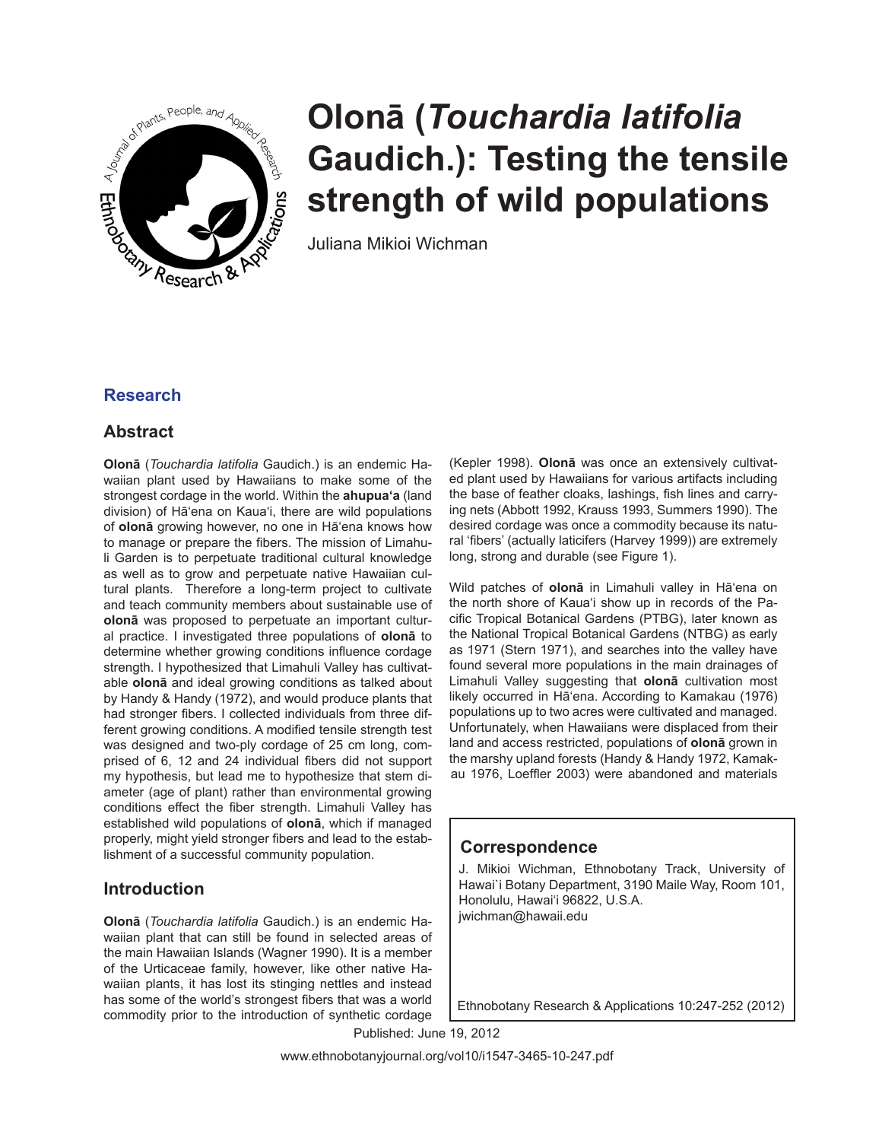

# **Olonā (***Touchardia latifolia* **Gaudich.): Testing the tensile strength of wild populations**

Juliana Mikioi Wichman

# **Research**

# **Abstract**

**Olonā** (*Touchardia latifolia* Gaudich.) is an endemic Hawaiian plant used by Hawaiians to make some of the strongest cordage in the world. Within the **ahupua'a** (land division) of Hā'ena on Kaua'i, there are wild populations of **olonā** growing however, no one in Hā'ena knows how to manage or prepare the fibers. The mission of Limahuli Garden is to perpetuate traditional cultural knowledge as well as to grow and perpetuate native Hawaiian cultural plants. Therefore a long-term project to cultivate and teach community members about sustainable use of **olonā** was proposed to perpetuate an important cultural practice. I investigated three populations of **olonā** to determine whether growing conditions influence cordage strength. I hypothesized that Limahuli Valley has cultivatable **olonā** and ideal growing conditions as talked about by Handy & Handy (1972), and would produce plants that had stronger fibers. I collected individuals from three different growing conditions. A modified tensile strength test was designed and two-ply cordage of 25 cm long, comprised of 6, 12 and 24 individual fibers did not support my hypothesis, but lead me to hypothesize that stem diameter (age of plant) rather than environmental growing conditions effect the fiber strength. Limahuli Valley has established wild populations of **olonā**, which if managed properly, might yield stronger fibers and lead to the establishment of a successful community population.

# **Introduction**

**Olonā** (*Touchardia latifolia* Gaudich.) is an endemic Hawaiian plant that can still be found in selected areas of the main Hawaiian Islands (Wagner 1990). It is a member of the Urticaceae family, however, like other native Hawaiian plants, it has lost its stinging nettles and instead has some of the world's strongest fibers that was a world commodity prior to the introduction of synthetic cordage

(Kepler 1998). **Olonā** was once an extensively cultivated plant used by Hawaiians for various artifacts including the base of feather cloaks, lashings, fish lines and carrying nets (Abbott 1992, Krauss 1993, Summers 1990). The desired cordage was once a commodity because its natural 'fibers' (actually laticifers (Harvey 1999)) are extremely long, strong and durable (see Figure 1).

Wild patches of **olonā** in Limahuli valley in Hā'ena on the north shore of Kaua'i show up in records of the Pacific Tropical Botanical Gardens (PTBG), later known as the National Tropical Botanical Gardens (NTBG) as early as 1971 (Stern 1971), and searches into the valley have found several more populations in the main drainages of Limahuli Valley suggesting that **olonā** cultivation most likely occurred in Hā'ena. According to Kamakau (1976) populations up to two acres were cultivated and managed. Unfortunately, when Hawaiians were displaced from their land and access restricted, populations of **olonā** grown in the marshy upland forests (Handy & Handy 1972, Kamakau 1976, Loeffler 2003) were abandoned and materials

# **Correspondence**

J. Mikioi Wichman, Ethnobotany Track, University of Hawai`i Botany Department, 3190 Maile Way, Room 101, Honolulu, Hawai'i 96822, U.S.A. jwichman@hawaii.edu

Ethnobotany Research & Applications 10:247-252 (2012)

Published: June 19, 2012

www.ethnobotanyjournal.org/vol10/i1547-3465-10-247.pdf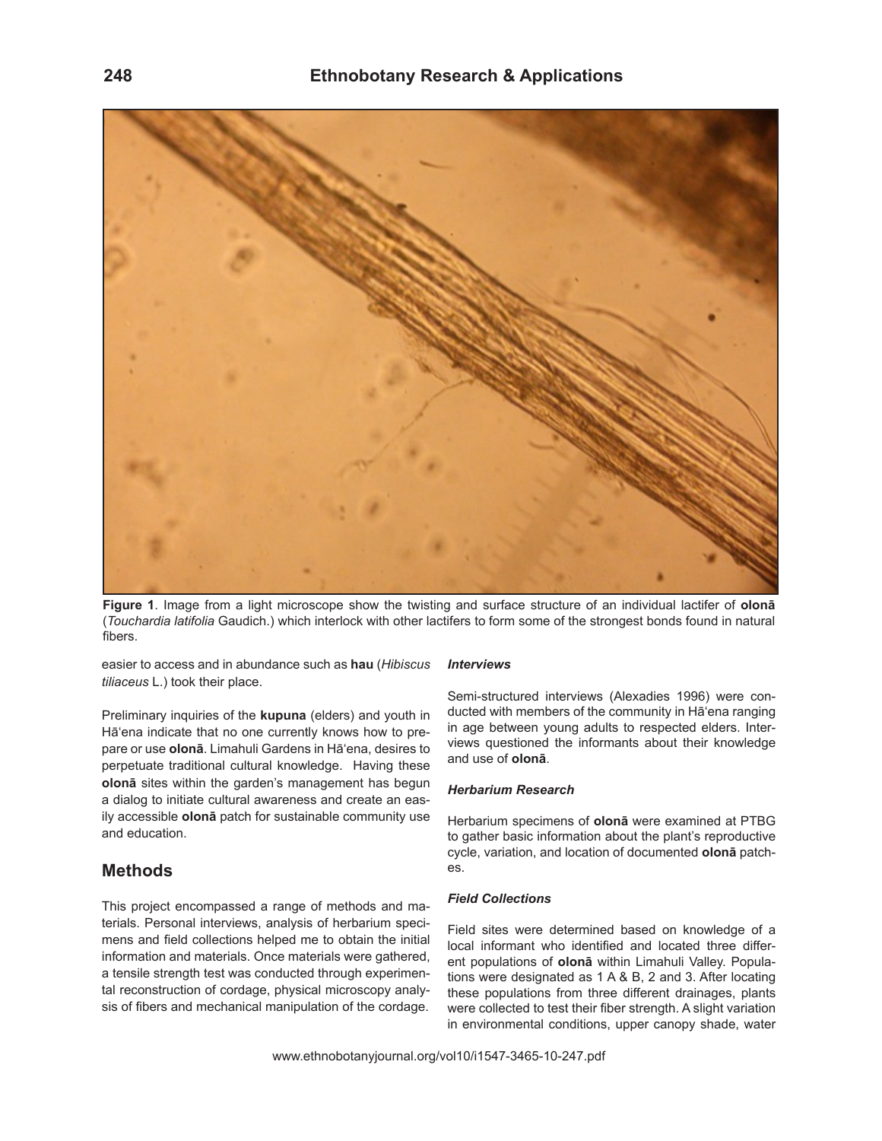

**Figure 1**. Image from a light microscope show the twisting and surface structure of an individual lactifer of **olonā**  (*Touchardia latifolia* Gaudich.) which interlock with other lactifers to form some of the strongest bonds found in natural fibers.

easier to access and in abundance such as **hau** (*Hibiscus tiliaceus* L.) took their place.

Preliminary inquiries of the **kupuna** (elders) and youth in Hā'ena indicate that no one currently knows how to prepare or use **olonā**. Limahuli Gardens in Hā'ena, desires to perpetuate traditional cultural knowledge. Having these **olonā** sites within the garden's management has begun a dialog to initiate cultural awareness and create an easily accessible **olonā** patch for sustainable community use and education.

## **Methods**

This project encompassed a range of methods and materials. Personal interviews, analysis of herbarium specimens and field collections helped me to obtain the initial information and materials. Once materials were gathered, a tensile strength test was conducted through experimental reconstruction of cordage, physical microscopy analysis of fibers and mechanical manipulation of the cordage.

#### *Interviews*

Semi-structured interviews (Alexadies 1996) were conducted with members of the community in Hā'ena ranging in age between young adults to respected elders. Interviews questioned the informants about their knowledge and use of **olonā**.

#### *Herbarium Research*

Herbarium specimens of **olonā** were examined at PTBG to gather basic information about the plant's reproductive cycle, variation, and location of documented **olonā** patches.

#### *Field Collections*

Field sites were determined based on knowledge of a local informant who identified and located three different populations of **olonā** within Limahuli Valley. Populations were designated as 1 A & B, 2 and 3. After locating these populations from three different drainages, plants were collected to test their fiber strength. A slight variation in environmental conditions, upper canopy shade, water

www.ethnobotanyjournal.org/vol10/i1547-3465-10-247.pdf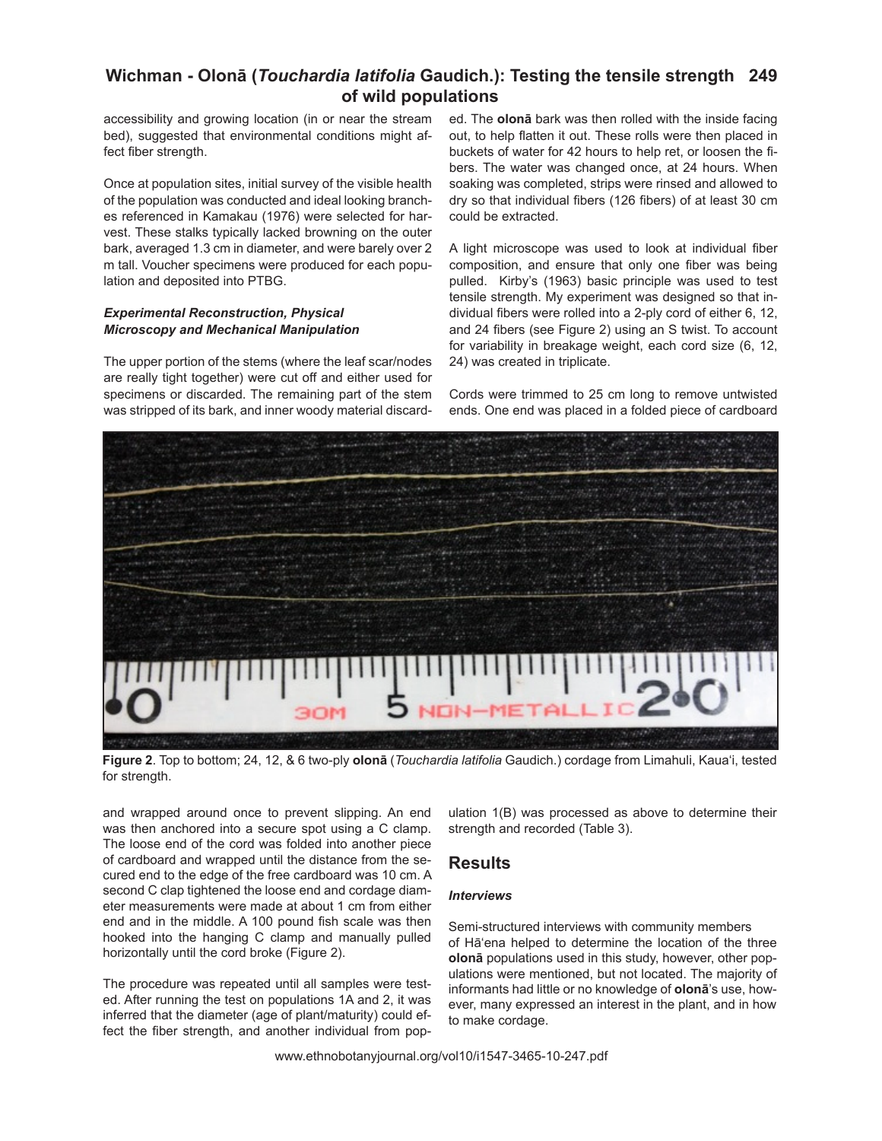# **Wichman - Olonā (***Touchardia latifolia* **Gaudich.): Testing the tensile strength 249 of wild populations**

accessibility and growing location (in or near the stream bed), suggested that environmental conditions might affect fiber strength.

Once at population sites, initial survey of the visible health of the population was conducted and ideal looking branches referenced in Kamakau (1976) were selected for harvest. These stalks typically lacked browning on the outer bark, averaged 1.3 cm in diameter, and were barely over 2 m tall. Voucher specimens were produced for each population and deposited into PTBG.

## *Experimental Reconstruction, Physical Microscopy and Mechanical Manipulation*

The upper portion of the stems (where the leaf scar/nodes are really tight together) were cut off and either used for specimens or discarded. The remaining part of the stem was stripped of its bark, and inner woody material discarded. The **olonā** bark was then rolled with the inside facing out, to help flatten it out. These rolls were then placed in buckets of water for 42 hours to help ret, or loosen the fibers. The water was changed once, at 24 hours. When soaking was completed, strips were rinsed and allowed to dry so that individual fibers (126 fibers) of at least 30 cm could be extracted.

A light microscope was used to look at individual fiber composition, and ensure that only one fiber was being pulled. Kirby's (1963) basic principle was used to test tensile strength. My experiment was designed so that individual fibers were rolled into a 2-ply cord of either 6, 12, and 24 fibers (see Figure 2) using an S twist. To account for variability in breakage weight, each cord size (6, 12, 24) was created in triplicate.

Cords were trimmed to 25 cm long to remove untwisted ends. One end was placed in a folded piece of cardboard



**Figure 2**. Top to bottom; 24, 12, & 6 two-ply **olonā** (*Touchardia latifolia* Gaudich.) cordage from Limahuli, Kaua'i, tested for strength.

and wrapped around once to prevent slipping. An end was then anchored into a secure spot using a C clamp. The loose end of the cord was folded into another piece of cardboard and wrapped until the distance from the secured end to the edge of the free cardboard was 10 cm. A second C clap tightened the loose end and cordage diameter measurements were made at about 1 cm from either end and in the middle. A 100 pound fish scale was then hooked into the hanging C clamp and manually pulled horizontally until the cord broke (Figure 2).

The procedure was repeated until all samples were tested. After running the test on populations 1A and 2, it was inferred that the diameter (age of plant/maturity) could effect the fiber strength, and another individual from pop-

ulation 1(B) was processed as above to determine their strength and recorded (Table 3).

# **Results**

## *Interviews*

Semi-structured interviews with community members of Hā'ena helped to determine the location of the three **olonā** populations used in this study, however, other populations were mentioned, but not located. The majority of informants had little or no knowledge of **olonā**'s use, however, many expressed an interest in the plant, and in how to make cordage.

www.ethnobotanyjournal.org/vol10/i1547-3465-10-247.pdf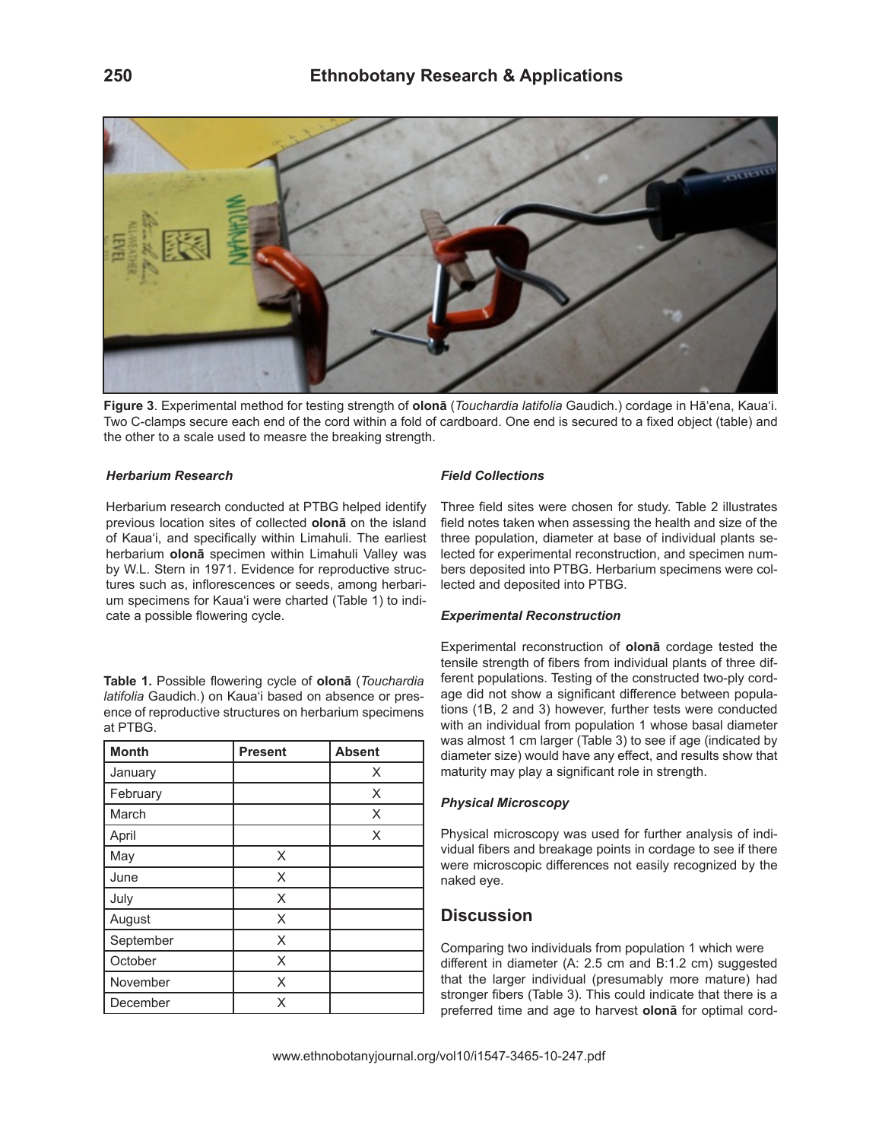

**Figure 3**. Experimental method for testing strength of **olonā** (*Touchardia latifolia* Gaudich.) cordage in Hā'ena, Kaua'i. Two C-clamps secure each end of the cord within a fold of cardboard. One end is secured to a fixed object (table) and the other to a scale used to measre the breaking strength.

## *Herbarium Research*

Herbarium research conducted at PTBG helped identify previous location sites of collected **olonā** on the island of Kaua'i, and specifically within Limahuli. The earliest herbarium **olonā** specimen within Limahuli Valley was by W.L. Stern in 1971. Evidence for reproductive structures such as, inflorescences or seeds, among herbarium specimens for Kaua'i were charted (Table 1) to indicate a possible flowering cycle.

**Table 1.** Possible flowering cycle of **olonā** (*Touchardia latifolia* Gaudich.) on Kaua'i based on absence or presence of reproductive structures on herbarium specimens at PTBG.

| <b>Month</b> | <b>Present</b> | <b>Absent</b> |
|--------------|----------------|---------------|
| January      |                | X             |
| February     |                | X             |
| March        |                | X             |
| April        |                | X             |
| May          | X              |               |
| June         | X              |               |
| July         | X              |               |
| August       | X              |               |
| September    | X              |               |
| October      | X              |               |
| November     | X              |               |
| December     | X              |               |

## *Field Collections*

Three field sites were chosen for study. Table 2 illustrates field notes taken when assessing the health and size of the three population, diameter at base of individual plants selected for experimental reconstruction, and specimen numbers deposited into PTBG. Herbarium specimens were collected and deposited into PTBG.

#### *Experimental Reconstruction*

Experimental reconstruction of **olonā** cordage tested the tensile strength of fibers from individual plants of three different populations. Testing of the constructed two-ply cordage did not show a significant difference between populations (1B, 2 and 3) however, further tests were conducted with an individual from population 1 whose basal diameter was almost 1 cm larger (Table 3) to see if age (indicated by diameter size) would have any effect, and results show that maturity may play a significant role in strength.

### *Physical Microscopy*

Physical microscopy was used for further analysis of individual fibers and breakage points in cordage to see if there were microscopic differences not easily recognized by the naked eye.

## **Discussion**

Comparing two individuals from population 1 which were different in diameter (A: 2.5 cm and B:1.2 cm) suggested that the larger individual (presumably more mature) had stronger fibers (Table 3). This could indicate that there is a preferred time and age to harvest **olonā** for optimal cord-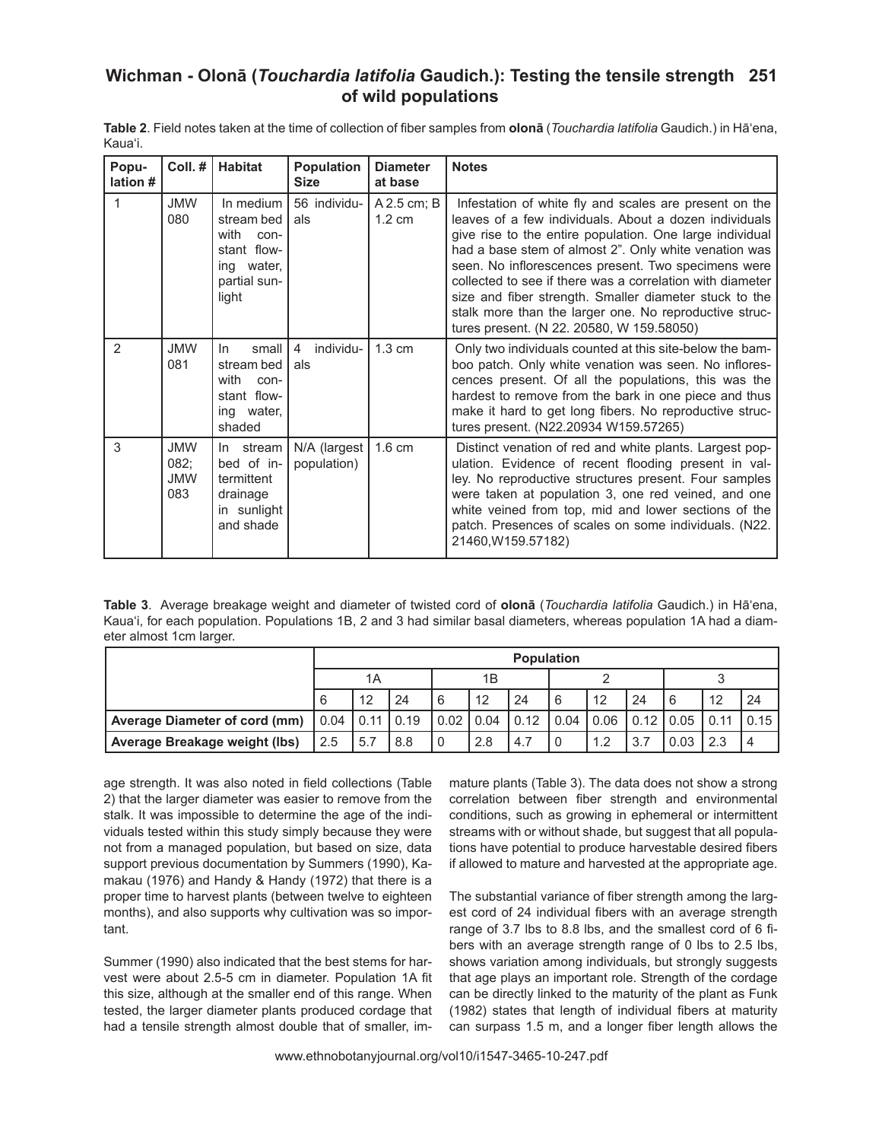# **Wichman - Olonā (***Touchardia latifolia* **Gaudich.): Testing the tensile strength 251 of wild populations**

| Popu-<br>lation # | Coll.#                                  | <b>Habitat</b>                                                                                | Population<br><b>Size</b>          | <b>Diameter</b><br>at base      | <b>Notes</b>                                                                                                                                                                                                                                                                                                                                                                                                                                                                                                               |
|-------------------|-----------------------------------------|-----------------------------------------------------------------------------------------------|------------------------------------|---------------------------------|----------------------------------------------------------------------------------------------------------------------------------------------------------------------------------------------------------------------------------------------------------------------------------------------------------------------------------------------------------------------------------------------------------------------------------------------------------------------------------------------------------------------------|
| 1                 | <b>JMW</b><br>080                       | In medium<br>stream bed<br>with<br>con-<br>stant flow-<br>ing water,<br>partial sun-<br>light | 56 individu-<br>als                | A 2.5 cm; B<br>$1.2 \text{ cm}$ | Infestation of white fly and scales are present on the<br>leaves of a few individuals. About a dozen individuals<br>give rise to the entire population. One large individual<br>had a base stem of almost 2". Only white venation was<br>seen. No inflorescences present. Two specimens were<br>collected to see if there was a correlation with diameter<br>size and fiber strength. Smaller diameter stuck to the<br>stalk more than the larger one. No reproductive struc-<br>tures present. (N 22. 20580, W 159.58050) |
| $\overline{2}$    | <b>JMW</b><br>081                       | small<br>In.<br>stream bed<br>with<br>con-<br>stant flow-<br>ing water,<br>shaded             | individu-<br>$\overline{4}$<br>als | $1.3 \text{ cm}$                | Only two individuals counted at this site-below the bam-<br>boo patch. Only white venation was seen. No inflores-<br>cences present. Of all the populations, this was the<br>hardest to remove from the bark in one piece and thus<br>make it hard to get long fibers. No reproductive struc-<br>tures present. (N22.20934 W159.57265)                                                                                                                                                                                     |
| 3                 | <b>JMW</b><br>082;<br><b>JMW</b><br>083 | In stream<br>bed of in-<br>termittent<br>drainage<br>in sunlight<br>and shade                 | N/A (largest<br>population)        | $1.6 \text{ cm}$                | Distinct venation of red and white plants. Largest pop-<br>ulation. Evidence of recent flooding present in val-<br>ley. No reproductive structures present. Four samples<br>were taken at population 3, one red veined, and one<br>white veined from top, mid and lower sections of the<br>patch. Presences of scales on some individuals. (N22.<br>21460, W159.57182)                                                                                                                                                     |

**Table 2**. Field notes taken at the time of collection of fiber samples from **olonā** (*Touchardia latifolia* Gaudich.) in Hā'ena, Kaua'i.

**Table 3**. Average breakage weight and diameter of twisted cord of **olonā** (*Touchardia latifolia* Gaudich.) in Hā'ena, Kaua'i, for each population. Populations 1B, 2 and 3 had similar basal diameters, whereas population 1A had a diameter almost 1cm larger.

|                                                                        | <b>Population</b> |     |     |  |             |      |      |      |           |      |      |      |
|------------------------------------------------------------------------|-------------------|-----|-----|--|-------------|------|------|------|-----------|------|------|------|
|                                                                        | 1Α                |     | 1B  |  |             |      |      |      |           |      |      |      |
|                                                                        | 6                 | 12  | 24  |  | 12          | 24   | 6    | 12   | 24        |      | 12   | 24   |
| Average Diameter of cord (mm) $\vert 0.04 \vert 0.11 \vert 0.19 \vert$ |                   |     |     |  | $0.02$ 0.04 | 0.12 | 0.04 | 0.06 | 0.12 0.05 |      | 0.11 | 0.15 |
| Average Breakage weight (lbs)                                          | 2.5               | 5.7 | 8.8 |  | 2.8         | 4.7  |      | 1.2  |           | 0.03 | 2.3  |      |

age strength. It was also noted in field collections (Table 2) that the larger diameter was easier to remove from the stalk. It was impossible to determine the age of the individuals tested within this study simply because they were not from a managed population, but based on size, data support previous documentation by Summers (1990), Kamakau (1976) and Handy & Handy (1972) that there is a proper time to harvest plants (between twelve to eighteen months), and also supports why cultivation was so important.

Summer (1990) also indicated that the best stems for harvest were about 2.5-5 cm in diameter. Population 1A fit this size, although at the smaller end of this range. When tested, the larger diameter plants produced cordage that had a tensile strength almost double that of smaller, immature plants (Table 3). The data does not show a strong correlation between fiber strength and environmental conditions, such as growing in ephemeral or intermittent streams with or without shade, but suggest that all populations have potential to produce harvestable desired fibers if allowed to mature and harvested at the appropriate age.

The substantial variance of fiber strength among the largest cord of 24 individual fibers with an average strength range of 3.7 lbs to 8.8 lbs, and the smallest cord of 6 fibers with an average strength range of 0 lbs to 2.5 lbs, shows variation among individuals, but strongly suggests that age plays an important role. Strength of the cordage can be directly linked to the maturity of the plant as Funk (1982) states that length of individual fibers at maturity can surpass 1.5 m, and a longer fiber length allows the